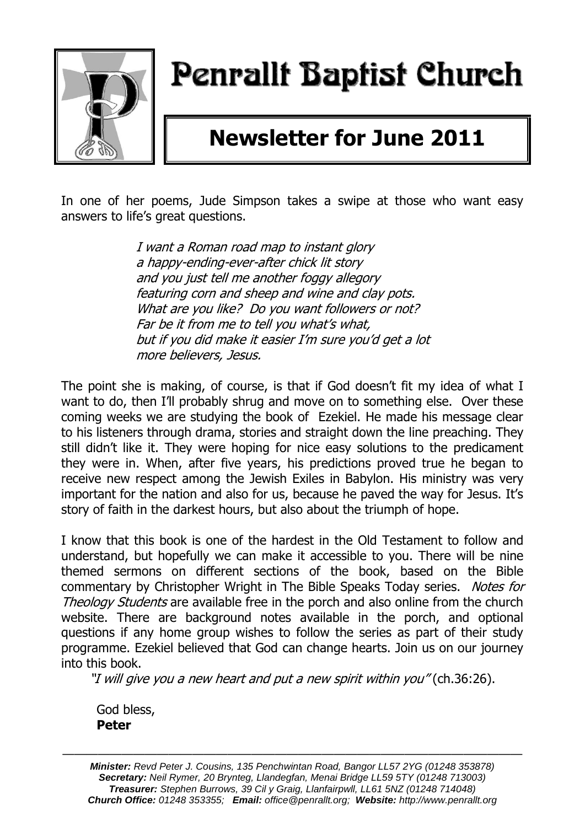

# Penrallt Baptist Church

## **Newsletter for June 2011**

In one of her poems, Jude Simpson takes a swipe at those who want easy answers to life's great questions.

> I want a Roman road map to instant glory a happy-ending-ever-after chick lit story and you just tell me another foggy allegory featuring corn and sheep and wine and clay pots. What are you like? Do you want followers or not? Far be it from me to tell you what's what, but if you did make it easier I'm sure you'd get a lot more believers, Jesus.

The point she is making, of course, is that if God doesn't fit my idea of what I want to do, then I'll probably shrug and move on to something else. Over these coming weeks we are studying the book of Ezekiel. He made his message clear to his listeners through drama, stories and straight down the line preaching. They still didn't like it. They were hoping for nice easy solutions to the predicament they were in. When, after five years, his predictions proved true he began to receive new respect among the Jewish Exiles in Babylon. His ministry was very important for the nation and also for us, because he paved the way for Jesus. It's story of faith in the darkest hours, but also about the triumph of hope.

I know that this book is one of the hardest in the Old Testament to follow and understand, but hopefully we can make it accessible to you. There will be nine themed sermons on different sections of the book, based on the Bible commentary by Christopher Wright in The Bible Speaks Today series. Notes for Theology Students are available free in the porch and also online from the church website. There are background notes available in the porch, and optional questions if any home group wishes to follow the series as part of their study programme. Ezekiel believed that God can change hearts. Join us on our journey into this book.

"I will give you a new heart and put a new spirit within you" (ch.36:26).

God bless, **Peter**

*Minister: Revd Peter J. Cousins, 135 Penchwintan Road, Bangor LL57 2YG (01248 353878) Secretary: Neil Rymer, 20 Brynteg, Llandegfan, Menai Bridge LL59 5TY (01248 713003) Treasurer: Stephen Burrows, 39 Cil y Graig, Llanfairpwll, LL61 5NZ (01248 714048) Church Office: 01248 353355; Email: office@penrallt.org; Website: http://www.penrallt.org*

———————————————————————————————————————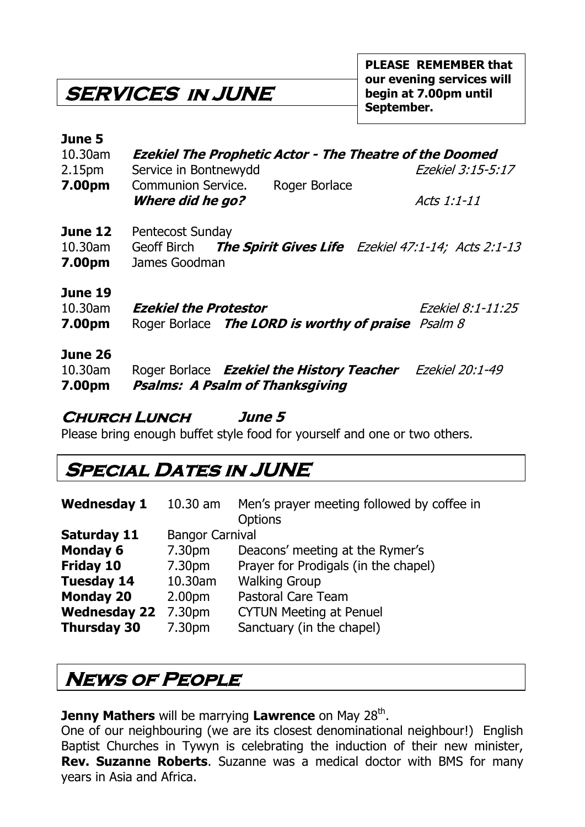**SERVICES in JUNE** 

#### **June 5**

| 10.30am |                       |               | <b>Ezekiel The Prophetic Actor - The Theatre of the Doomed</b> |
|---------|-----------------------|---------------|----------------------------------------------------------------|
| 2.15pm  | Service in Bontnewydd |               | Ezekiel 3:15-5:17                                              |
| 7.00pm  | Communion Service.    | Roger Borlace |                                                                |
|         | Where did he go?      |               | Acts 1:1-11                                                    |

- **June 12** Pentecost Sunday
- 10.30am Geoff Birch **The Spirit Gives Life** Ezekiel 47:1-14; Acts 2:1-13 **7.00pm** James Goodman

#### **June 19**

| 10.30am | <b>Ezekiel the Protestor</b> |                                                    | Ezekiel 8:1-11:25 |
|---------|------------------------------|----------------------------------------------------|-------------------|
| 7.00pm  |                              | Roger Borlace The LORD is worthy of praise Psalm 8 |                   |

#### **June 26**

| 10.30am | Roger Borlace <b>Ezekiel the History Teacher</b> Ezekiel 20:1-49 |  |
|---------|------------------------------------------------------------------|--|
| 7.00pm  | Psalms: A Psalm of Thanksgiving                                  |  |

#### **Church Lunch June 5**

Please bring enough buffet style food for yourself and one or two others.

### **Special Dates in JUNE**

| <b>Wednesday 1</b>  | $10.30$ am             | Men's prayer meeting followed by coffee in<br><b>Options</b> |
|---------------------|------------------------|--------------------------------------------------------------|
| Saturday 11         | <b>Bangor Carnival</b> |                                                              |
| <b>Monday 6</b>     | 7.30pm                 | Deacons' meeting at the Rymer's                              |
| Friday 10           | 7.30pm                 | Prayer for Prodigals (in the chapel)                         |
| <b>Tuesday 14</b>   | 10.30am                | <b>Walking Group</b>                                         |
| <b>Monday 20</b>    | 2.00 <sub>pm</sub>     | <b>Pastoral Care Team</b>                                    |
| <b>Wednesday 22</b> | 7.30pm                 | <b>CYTUN Meeting at Penuel</b>                               |
| <b>Thursday 30</b>  | 7.30pm                 | Sanctuary (in the chapel)                                    |

### **News of People**

**Jenny Mathers** will be marrying Lawrence on May 28<sup>th</sup>.

One of our neighbouring (we are its closest denominational neighbour!) English Baptist Churches in Tywyn is celebrating the induction of their new minister, **Rev. Suzanne Roberts**. Suzanne was a medical doctor with BMS for many years in Asia and Africa.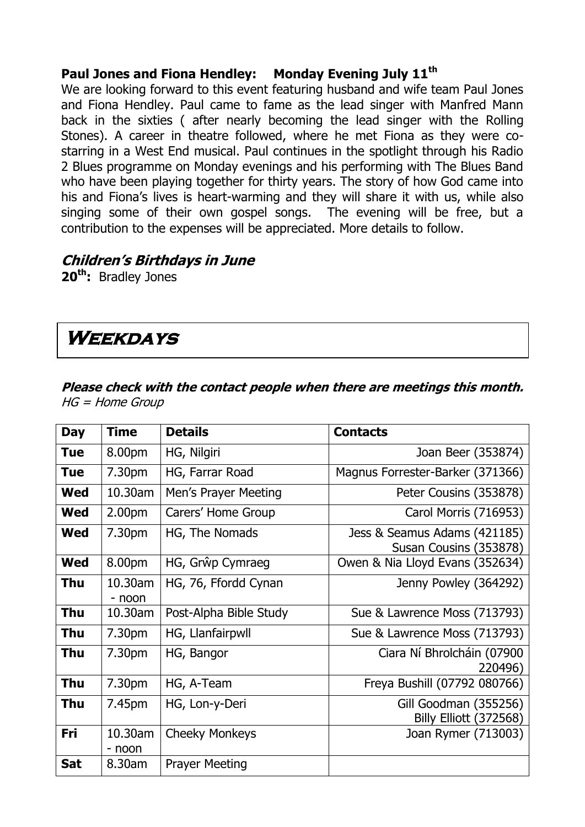#### **Paul Jones and Fiona Hendley: Monday Evening July 11th**

We are looking forward to this event featuring husband and wife team Paul Jones and Fiona Hendley. Paul came to fame as the lead singer with Manfred Mann back in the sixties ( after nearly becoming the lead singer with the Rolling Stones). A career in theatre followed, where he met Fiona as they were costarring in a West End musical. Paul continues in the spotlight through his Radio 2 Blues programme on Monday evenings and his performing with The Blues Band who have been playing together for thirty years. The story of how God came into his and Fiona's lives is heart-warming and they will share it with us, while also singing some of their own gospel songs. The evening will be free, but a contribution to the expenses will be appreciated. More details to follow.

#### **Children's Birthdays in June**

**20th:** Bradley Jones

### **Weekdays**

#### **Please check with the contact people when there are meetings this month.**  HG = Home Group

| <b>Day</b> | <b>Time</b>        | <b>Details</b>         | <b>Contacts</b>                                        |
|------------|--------------------|------------------------|--------------------------------------------------------|
| <b>Tue</b> | 8.00pm             | HG, Nilgiri            | Joan Beer (353874)                                     |
| <b>Tue</b> | 7.30pm             | HG, Farrar Road        | Magnus Forrester-Barker (371366)                       |
| <b>Wed</b> | 10.30am            | Men's Prayer Meeting   | Peter Cousins (353878)                                 |
| <b>Wed</b> | 2.00 <sub>pm</sub> | Carers' Home Group     | Carol Morris (716953)                                  |
| <b>Wed</b> | 7.30pm             | HG, The Nomads         | Jess & Seamus Adams (421185)<br>Susan Cousins (353878) |
| <b>Wed</b> | 8.00pm             | HG, Grŵp Cymraeg       | Owen & Nia Lloyd Evans (352634)                        |
| Thu        | 10.30am<br>- noon  | HG, 76, Ffordd Cynan   | Jenny Powley (364292)                                  |
| Thu        | 10.30am            | Post-Alpha Bible Study | Sue & Lawrence Moss (713793)                           |
| <b>Thu</b> | 7.30pm             | HG, Llanfairpwll       | Sue & Lawrence Moss (713793)                           |
| <b>Thu</b> | 7.30pm             | HG, Bangor             | Ciara Ní Bhrolcháin (07900<br>220496)                  |
| <b>Thu</b> | 7.30pm             | HG, A-Team             | Freya Bushill (07792 080766)                           |
| Thu        | 7.45pm             | HG, Lon-y-Deri         | Gill Goodman (355256)<br><b>Billy Elliott (372568)</b> |
| Fri        | 10.30am<br>- noon  | <b>Cheeky Monkeys</b>  | Joan Rymer (713003)                                    |
| <b>Sat</b> | 8.30am             | <b>Prayer Meeting</b>  |                                                        |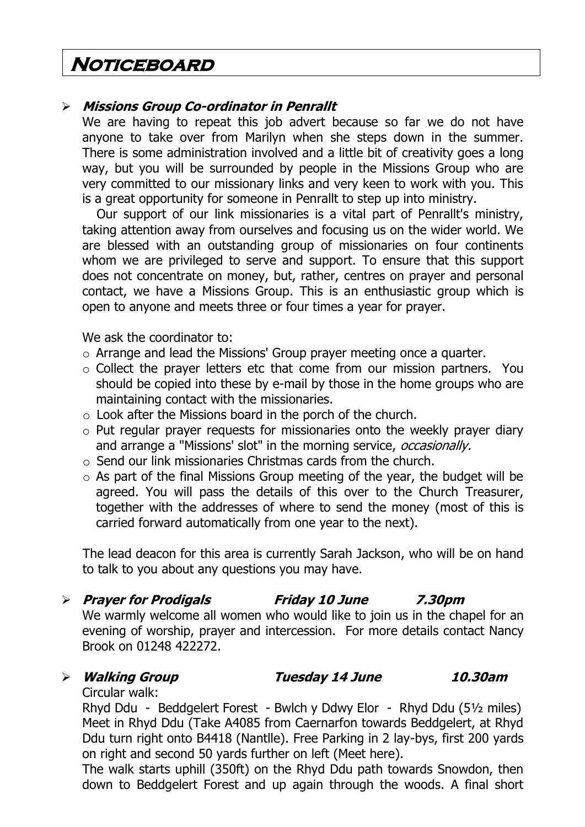### **Noticeboard**

#### **Missions Group Co-ordinator in Penrallt**

We are having to repeat this job advert because so far we do not have anyone to take over from Marilyn when she steps down in the summer. There is some administration involved and a little bit of creativity goes a long way, but you will be surrounded by people in the Missions Group who are very committed to our missionary links and very keen to work with you. This is a great opportunity for someone in Penrallt to step up into ministry.

Our support of our link missionaries is a vital part of Penrallt's ministry, taking attention away from ourselves and focusing us on the wider world. We are blessed with an outstanding group of missionaries on four continents whom we are privileged to serve and support. To ensure that this support does not concentrate on money, but, rather, centres on prayer and personal contact, we have a Missions Group. This is an enthusiastic group which is open to anyone and meets three or four times a year for prayer.

We ask the coordinator to:

- o Arrange and lead the Missions' Group prayer meeting once a quarter.
- o Collect the prayer letters etc that come from our mission partners. You should be copied into these by e-mail by those in the home groups who are maintaining contact with the missionaries.
- $\circ$  Look after the Missions board in the porch of the church.
- o Put regular prayer requests for missionaries onto the weekly prayer diary and arrange a "Missions' slot" in the morning service, *occasionally*.
- $\circ$  Send our link missionaries Christmas cards from the church.
- $\circ$  As part of the final Missions Group meeting of the year, the budget will be agreed. You will pass the details of this over to the Church Treasurer, together with the addresses of where to send the money (most of this is carried forward automatically from one year to the next).

The lead deacon for this area is currently Sarah Jackson, who will be on hand to talk to you about any questions you may have.

#### **Prayer for Prodigals Friday 10 June 7.30pm**

We warmly welcome all women who would like to join us in the chapel for an evening of worship, prayer and intercession. For more details contact Nancy Brook on 01248 422272.

#### **Walking Group Tuesday 14 June 10.30am**

Circular walk:

Rhyd Ddu - Beddgelert Forest - Bwlch y Ddwy Elor - Rhyd Ddu (5½ miles) Meet in Rhyd Ddu (Take A4085 from Caernarfon towards Beddgelert, at Rhyd Ddu turn right onto B4418 (Nantlle). Free Parking in 2 lay-bys, first 200 yards on right and second 50 yards further on left (Meet here).

The walk starts uphill (350ft) on the Rhyd Ddu path towards Snowdon, then down to Beddgelert Forest and up again through the woods. A final short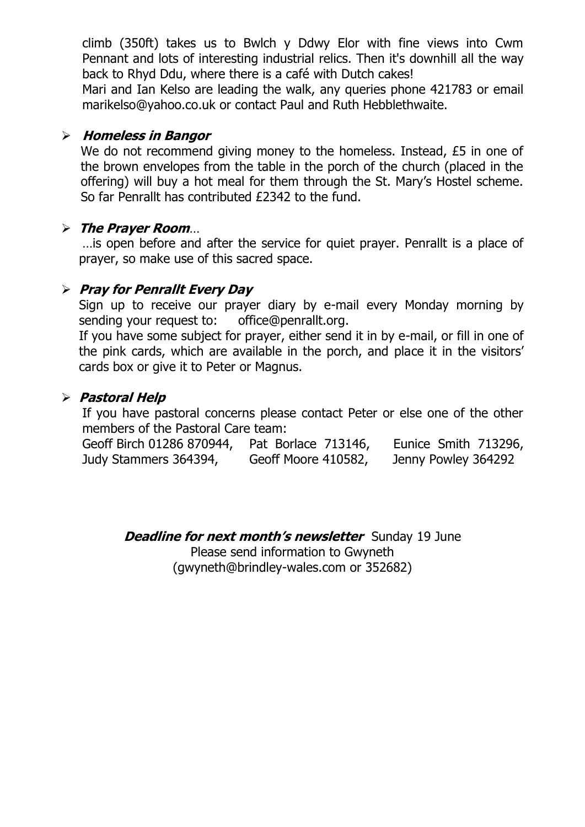climb (350ft) takes us to Bwlch y Ddwy Elor with fine views into Cwm Pennant and lots of interesting industrial relics. Then it's downhill all the way back to Rhyd Ddu, where there is a café with Dutch cakes!

Mari and Ian Kelso are leading the walk, any queries phone 421783 or email [marikelso@yahoo.co.uk](mailto:marikelso@yahoo.co.uk) or contact Paul and Ruth Hebblethwaite.

#### **Homeless in Bangor**

We do not recommend giving money to the homeless. Instead, £5 in one of the brown envelopes from the table in the porch of the church (placed in the offering) will buy a hot meal for them through the St. Mary's Hostel scheme. So far Penrallt has contributed £2342 to the fund.

#### **The Prayer Room**…

…is open before and after the service for quiet prayer. Penrallt is a place of prayer, so make use of this sacred space.

#### **Pray for Penrallt Every Day**

Sign up to receive our prayer diary by e-mail every Monday morning by sending your request to: [office@penrallt.org.](mailto:office@penrallt.org)

If you have some subject for prayer, either send it in by e-mail, or fill in one of the pink cards, which are available in the porch, and place it in the visitors' cards box or give it to Peter or Magnus.

#### **Pastoral Help**

If you have pastoral concerns please contact Peter or else one of the other members of the Pastoral Care team:

Geoff Birch 01286 870944, Pat Borlace 713146, Eunice Smith 713296, Judy Stammers 364394, Geoff Moore 410582, Jenny Powley 364292

**Deadline for next month's newsletter** Sunday 19 June Please send information to Gwyneth [\(gwyneth@brindley-wales.com](mailto:gwyneth@brindley-wales.com) or 352682)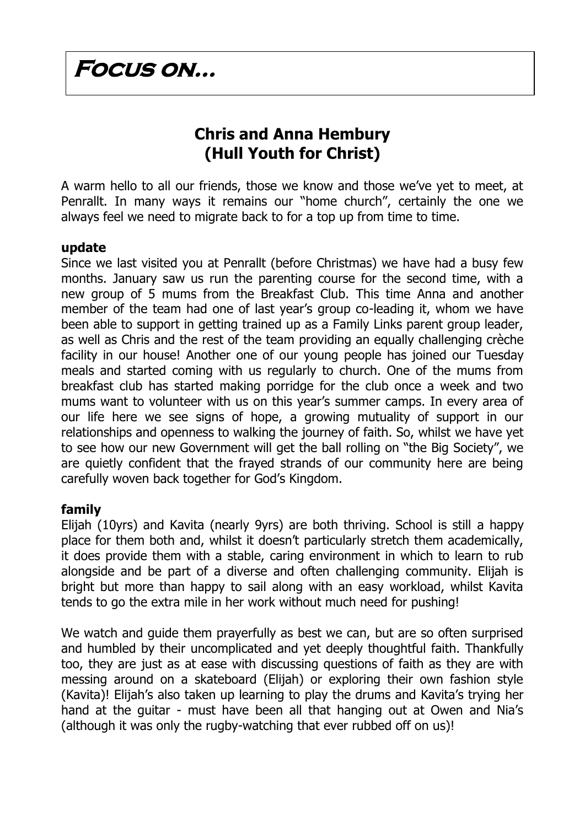### **Focus on…**

### **Chris and Anna Hembury (Hull Youth for Christ)**

A warm hello to all our friends, those we know and those we've yet to meet, at Penrallt. In many ways it remains our "home church", certainly the one we always feel we need to migrate back to for a top up from time to time.

#### **update**

Since we last visited you at Penrallt (before Christmas) we have had a busy few months. January saw us run the parenting course for the second time, with a new group of 5 mums from the Breakfast Club. This time Anna and another member of the team had one of last year's group co-leading it, whom we have been able to support in getting trained up as a Family Links parent group leader, as well as Chris and the rest of the team providing an equally challenging crèche facility in our house! Another one of our young people has joined our Tuesday meals and started coming with us regularly to church. One of the mums from breakfast club has started making porridge for the club once a week and two mums want to volunteer with us on this year's summer camps. In every area of our life here we see signs of hope, a growing mutuality of support in our relationships and openness to walking the journey of faith. So, whilst we have yet to see how our new Government will get the ball rolling on "the Big Society", we are quietly confident that the frayed strands of our community here are being carefully woven back together for God's Kingdom.

#### **family**

Elijah (10yrs) and Kavita (nearly 9yrs) are both thriving. School is still a happy place for them both and, whilst it doesn't particularly stretch them academically, it does provide them with a stable, caring environment in which to learn to rub alongside and be part of a diverse and often challenging community. Elijah is bright but more than happy to sail along with an easy workload, whilst Kavita tends to go the extra mile in her work without much need for pushing!

We watch and guide them prayerfully as best we can, but are so often surprised and humbled by their uncomplicated and yet deeply thoughtful faith. Thankfully too, they are just as at ease with discussing questions of faith as they are with messing around on a skateboard (Elijah) or exploring their own fashion style (Kavita)! Elijah's also taken up learning to play the drums and Kavita's trying her hand at the guitar - must have been all that hanging out at Owen and Nia's (although it was only the rugby-watching that ever rubbed off on us)!